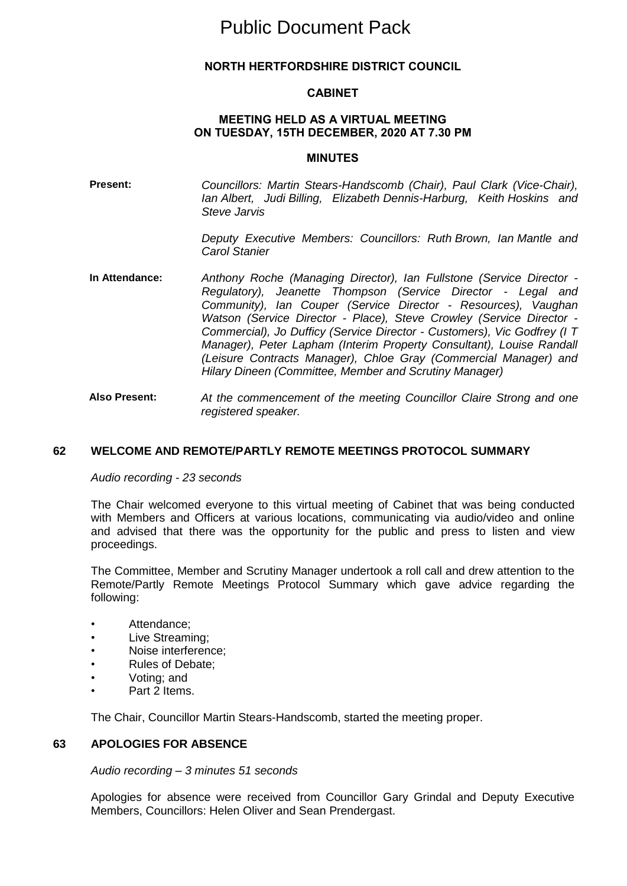# Public Document Pack

## **NORTH HERTFORDSHIRE DISTRICT COUNCIL**

#### **CABINET**

#### **MEETING HELD AS A VIRTUAL MEETING ON TUESDAY, 15TH DECEMBER, 2020 AT 7.30 PM**

#### **MINUTES**

**Present:** *Councillors: Martin Stears-Handscomb (Chair), Paul Clark (Vice-Chair), Ian Albert, Judi Billing, Elizabeth Dennis-Harburg, Keith Hoskins and Steve Jarvis*

> *Deputy Executive Members: Councillors: Ruth Brown, Ian Mantle and Carol Stanier*

- **In Attendance:** *Anthony Roche (Managing Director), Ian Fullstone (Service Director - Regulatory), Jeanette Thompson (Service Director - Legal and Community), Ian Couper (Service Director - Resources), Vaughan Watson (Service Director - Place), Steve Crowley (Service Director - Commercial), Jo Dufficy (Service Director - Customers), Vic Godfrey (I T Manager), Peter Lapham (Interim Property Consultant), Louise Randall (Leisure Contracts Manager), Chloe Gray (Commercial Manager) and Hilary Dineen (Committee, Member and Scrutiny Manager)*
- **Also Present:** *At the commencement of the meeting Councillor Claire Strong and one registered speaker.*

#### **62 WELCOME AND REMOTE/PARTLY REMOTE MEETINGS PROTOCOL SUMMARY**

*Audio recording - 23 seconds*

The Chair welcomed everyone to this virtual meeting of Cabinet that was being conducted with Members and Officers at various locations, communicating via audio/video and online and advised that there was the opportunity for the public and press to listen and view proceedings.

The Committee, Member and Scrutiny Manager undertook a roll call and drew attention to the Remote/Partly Remote Meetings Protocol Summary which gave advice regarding the following:

- Attendance;
- Live Streaming:
- Noise interference;
- Rules of Debate;
- Voting; and
- Part 2 Items.

The Chair, Councillor Martin Stears-Handscomb, started the meeting proper.

#### **63 APOLOGIES FOR ABSENCE**

*Audio recording – 3 minutes 51 seconds*

Apologies for absence were received from Councillor Gary Grindal and Deputy Executive Members, Councillors: Helen Oliver and Sean Prendergast.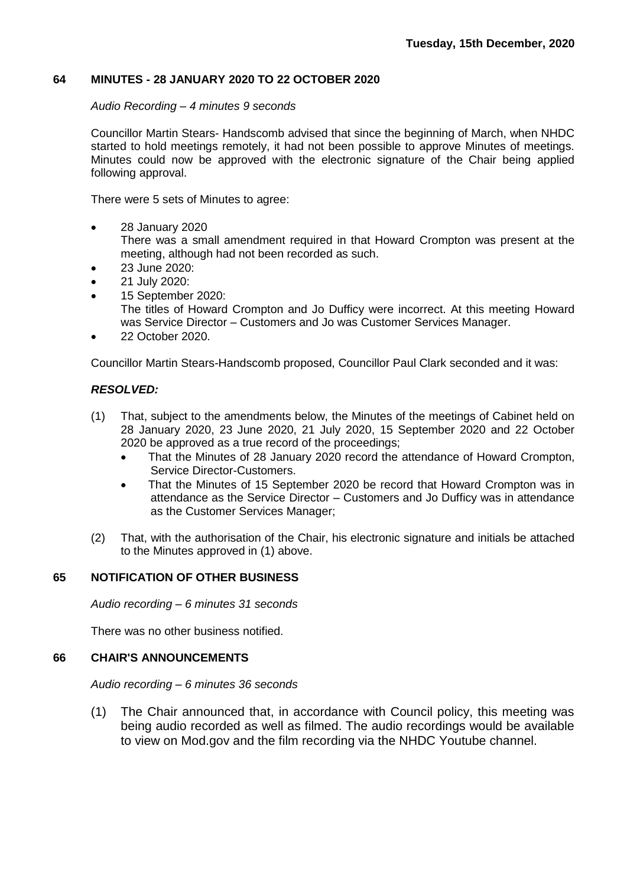## **64 MINUTES - 28 JANUARY 2020 TO 22 OCTOBER 2020**

#### *Audio Recording – 4 minutes 9 seconds*

Councillor Martin Stears- Handscomb advised that since the beginning of March, when NHDC started to hold meetings remotely, it had not been possible to approve Minutes of meetings. Minutes could now be approved with the electronic signature of the Chair being applied following approval.

There were 5 sets of Minutes to agree:

- 28 January 2020 There was a small amendment required in that Howard Crompton was present at the meeting, although had not been recorded as such.
- 23 June 2020:
- 21 July 2020:
- 15 September 2020: The titles of Howard Crompton and Jo Dufficy were incorrect. At this meeting Howard was Service Director – Customers and Jo was Customer Services Manager.
- 22 October 2020.

Councillor Martin Stears-Handscomb proposed, Councillor Paul Clark seconded and it was:

## *RESOLVED:*

- (1) That, subject to the amendments below, the Minutes of the meetings of Cabinet held on 28 January 2020, 23 June 2020, 21 July 2020, 15 September 2020 and 22 October 2020 be approved as a true record of the proceedings;
	- That the Minutes of 28 January 2020 record the attendance of Howard Crompton, Service Director-Customers.
	- That the Minutes of 15 September 2020 be record that Howard Crompton was in attendance as the Service Director – Customers and Jo Dufficy was in attendance as the Customer Services Manager;
- (2) That, with the authorisation of the Chair, his electronic signature and initials be attached to the Minutes approved in (1) above.

## **65 NOTIFICATION OF OTHER BUSINESS**

*Audio recording – 6 minutes 31 seconds*

There was no other business notified.

## **66 CHAIR'S ANNOUNCEMENTS**

*Audio recording – 6 minutes 36 seconds*

(1) The Chair announced that, in accordance with Council policy, this meeting was being audio recorded as well as filmed. The audio recordings would be available to view on Mod.gov and the film recording via the NHDC Youtube channel.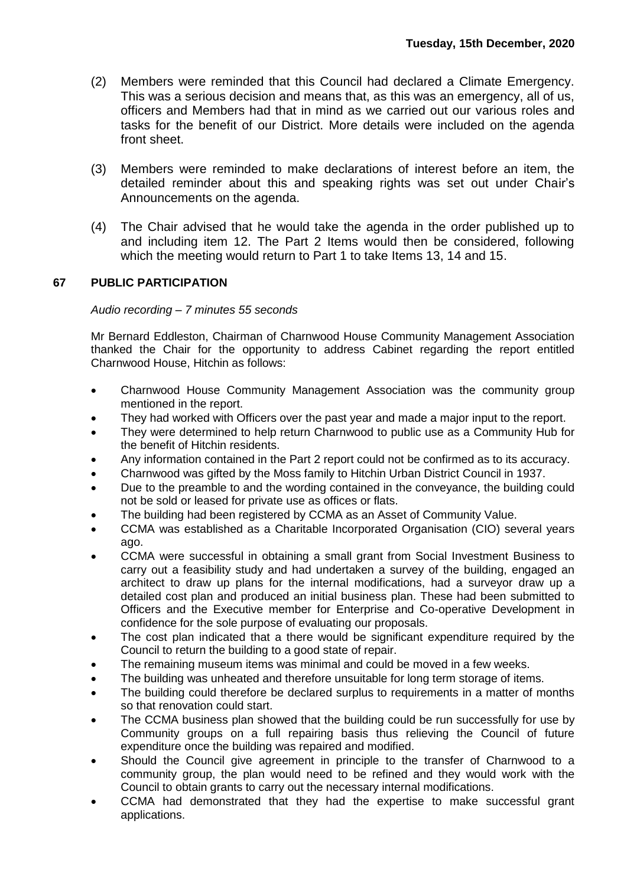- (2) Members were reminded that this Council had declared a Climate Emergency. This was a serious decision and means that, as this was an emergency, all of us, officers and Members had that in mind as we carried out our various roles and tasks for the benefit of our District. More details were included on the agenda front sheet.
- (3) Members were reminded to make declarations of interest before an item, the detailed reminder about this and speaking rights was set out under Chair's Announcements on the agenda.
- (4) The Chair advised that he would take the agenda in the order published up to and including item 12. The Part 2 Items would then be considered, following which the meeting would return to Part 1 to take Items 13, 14 and 15.

## **67 PUBLIC PARTICIPATION**

#### *Audio recording – 7 minutes 55 seconds*

Mr Bernard Eddleston, Chairman of Charnwood House Community Management Association thanked the Chair for the opportunity to address Cabinet regarding the report entitled Charnwood House, Hitchin as follows:

- Charnwood House Community Management Association was the community group mentioned in the report.
- They had worked with Officers over the past year and made a major input to the report.
- They were determined to help return Charnwood to public use as a Community Hub for the benefit of Hitchin residents.
- Any information contained in the Part 2 report could not be confirmed as to its accuracy.
- Charnwood was gifted by the Moss family to Hitchin Urban District Council in 1937.
- Due to the preamble to and the wording contained in the conveyance, the building could not be sold or leased for private use as offices or flats.
- The building had been registered by CCMA as an Asset of Community Value.
- CCMA was established as a Charitable Incorporated Organisation (CIO) several years ago.
- CCMA were successful in obtaining a small grant from Social Investment Business to carry out a feasibility study and had undertaken a survey of the building, engaged an architect to draw up plans for the internal modifications, had a surveyor draw up a detailed cost plan and produced an initial business plan. These had been submitted to Officers and the Executive member for Enterprise and Co-operative Development in confidence for the sole purpose of evaluating our proposals.
- The cost plan indicated that a there would be significant expenditure required by the Council to return the building to a good state of repair.
- The remaining museum items was minimal and could be moved in a few weeks.
- The building was unheated and therefore unsuitable for long term storage of items.
- The building could therefore be declared surplus to requirements in a matter of months so that renovation could start.
- The CCMA business plan showed that the building could be run successfully for use by Community groups on a full repairing basis thus relieving the Council of future expenditure once the building was repaired and modified.
- Should the Council give agreement in principle to the transfer of Charnwood to a community group, the plan would need to be refined and they would work with the Council to obtain grants to carry out the necessary internal modifications.
- CCMA had demonstrated that they had the expertise to make successful grant applications.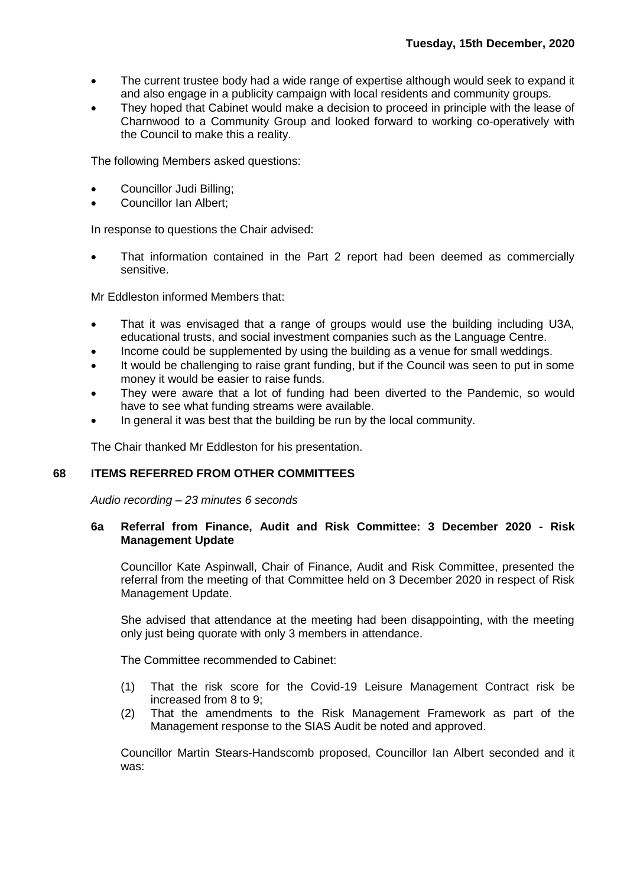- The current trustee body had a wide range of expertise although would seek to expand it and also engage in a publicity campaign with local residents and community groups.
- They hoped that Cabinet would make a decision to proceed in principle with the lease of Charnwood to a Community Group and looked forward to working co-operatively with the Council to make this a reality.

The following Members asked questions:

- Councillor Judi Billing;
- Councillor Ian Albert;

In response to questions the Chair advised:

 That information contained in the Part 2 report had been deemed as commercially sensitive.

Mr Eddleston informed Members that:

- That it was envisaged that a range of groups would use the building including U3A, educational trusts, and social investment companies such as the Language Centre.
- Income could be supplemented by using the building as a venue for small weddings.
- It would be challenging to raise grant funding, but if the Council was seen to put in some money it would be easier to raise funds.
- They were aware that a lot of funding had been diverted to the Pandemic, so would have to see what funding streams were available.
- In general it was best that the building be run by the local community.

The Chair thanked Mr Eddleston for his presentation.

## **68 ITEMS REFERRED FROM OTHER COMMITTEES**

*Audio recording – 23 minutes 6 seconds*

#### **6a Referral from Finance, Audit and Risk Committee: 3 December 2020 - Risk Management Update**

Councillor Kate Aspinwall, Chair of Finance, Audit and Risk Committee, presented the referral from the meeting of that Committee held on 3 December 2020 in respect of Risk Management Update.

She advised that attendance at the meeting had been disappointing, with the meeting only just being quorate with only 3 members in attendance.

The Committee recommended to Cabinet:

- (1) That the risk score for the Covid-19 Leisure Management Contract risk be increased from 8 to 9;
- (2) That the amendments to the Risk Management Framework as part of the Management response to the SIAS Audit be noted and approved.

Councillor Martin Stears-Handscomb proposed, Councillor Ian Albert seconded and it was: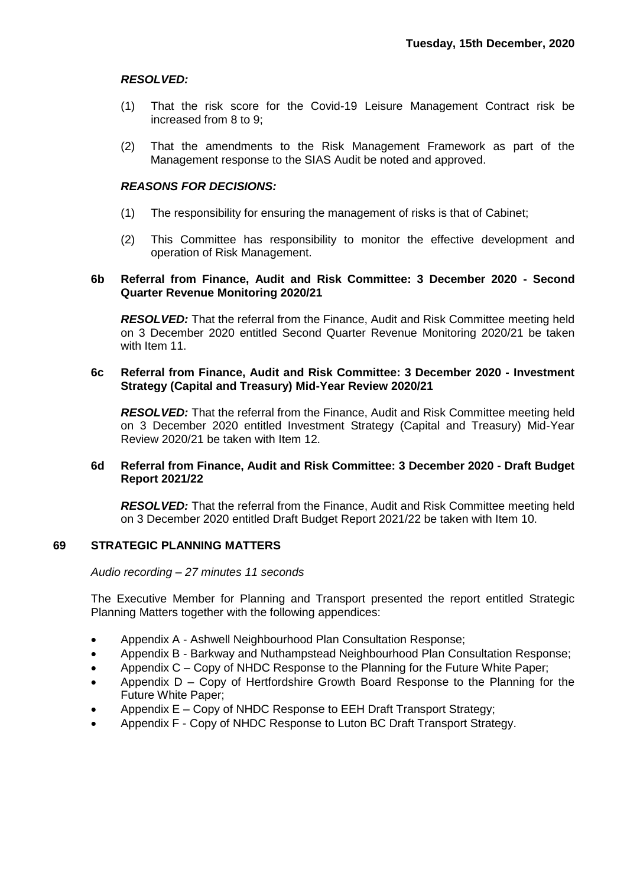## *RESOLVED:*

- (1) That the risk score for the Covid-19 Leisure Management Contract risk be increased from 8 to 9;
- (2) That the amendments to the Risk Management Framework as part of the Management response to the SIAS Audit be noted and approved.

#### *REASONS FOR DECISIONS:*

- (1) The responsibility for ensuring the management of risks is that of Cabinet;
- (2) This Committee has responsibility to monitor the effective development and operation of Risk Management.

#### **6b Referral from Finance, Audit and Risk Committee: 3 December 2020 - Second Quarter Revenue Monitoring 2020/21**

*RESOLVED:* That the referral from the Finance, Audit and Risk Committee meeting held on 3 December 2020 entitled Second Quarter Revenue Monitoring 2020/21 be taken with Item 11.

#### **6c Referral from Finance, Audit and Risk Committee: 3 December 2020 - Investment Strategy (Capital and Treasury) Mid-Year Review 2020/21**

*RESOLVED:* That the referral from the Finance, Audit and Risk Committee meeting held on 3 December 2020 entitled Investment Strategy (Capital and Treasury) Mid-Year Review 2020/21 be taken with Item 12.

#### **6d Referral from Finance, Audit and Risk Committee: 3 December 2020 - Draft Budget Report 2021/22**

*RESOLVED:* That the referral from the Finance, Audit and Risk Committee meeting held on 3 December 2020 entitled Draft Budget Report 2021/22 be taken with Item 10.

## **69 STRATEGIC PLANNING MATTERS**

*Audio recording – 27 minutes 11 seconds*

The Executive Member for Planning and Transport presented the report entitled Strategic Planning Matters together with the following appendices:

- Appendix A Ashwell Neighbourhood Plan Consultation Response;
- Appendix B Barkway and Nuthampstead Neighbourhood Plan Consultation Response;
- Appendix C Copy of NHDC Response to the Planning for the Future White Paper;
- Appendix D Copy of Hertfordshire Growth Board Response to the Planning for the Future White Paper;
- Appendix E Copy of NHDC Response to EEH Draft Transport Strategy;
- Appendix F Copy of NHDC Response to Luton BC Draft Transport Strategy.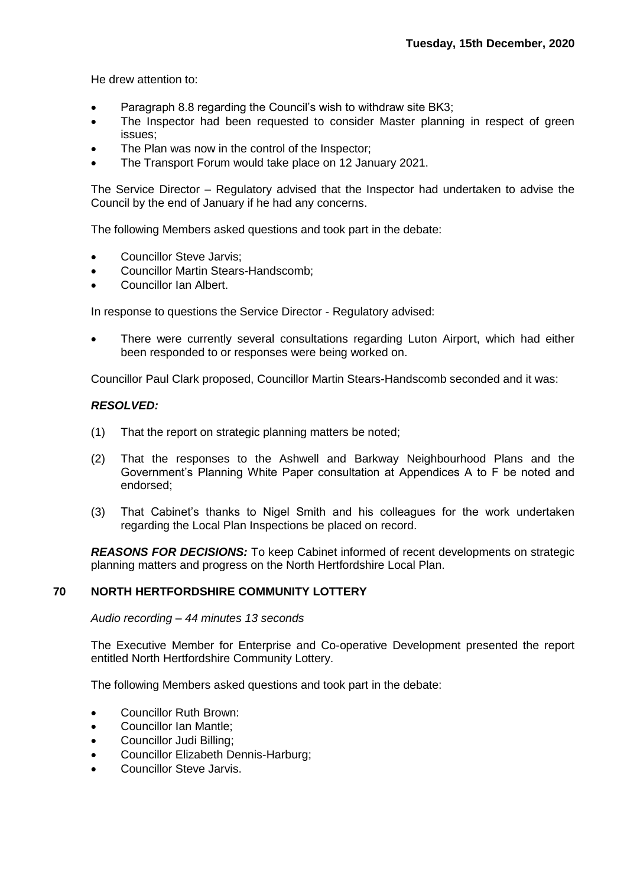He drew attention to:

- Paragraph 8.8 regarding the Council's wish to withdraw site BK3;
- The Inspector had been requested to consider Master planning in respect of green issues;
- The Plan was now in the control of the Inspector;
- The Transport Forum would take place on 12 January 2021.

The Service Director – Regulatory advised that the Inspector had undertaken to advise the Council by the end of January if he had any concerns.

The following Members asked questions and took part in the debate:

- Councillor Steve Jarvis;
- Councillor Martin Stears-Handscomb;
- Councillor Ian Albert.

In response to questions the Service Director - Regulatory advised:

 There were currently several consultations regarding Luton Airport, which had either been responded to or responses were being worked on.

Councillor Paul Clark proposed, Councillor Martin Stears-Handscomb seconded and it was:

#### *RESOLVED:*

- (1) That the report on strategic planning matters be noted;
- (2) That the responses to the Ashwell and Barkway Neighbourhood Plans and the Government's Planning White Paper consultation at Appendices A to F be noted and endorsed;
- (3) That Cabinet's thanks to Nigel Smith and his colleagues for the work undertaken regarding the Local Plan Inspections be placed on record.

*REASONS FOR DECISIONS:* To keep Cabinet informed of recent developments on strategic planning matters and progress on the North Hertfordshire Local Plan.

## **70 NORTH HERTFORDSHIRE COMMUNITY LOTTERY**

*Audio recording – 44 minutes 13 seconds*

The Executive Member for Enterprise and Co-operative Development presented the report entitled North Hertfordshire Community Lottery.

The following Members asked questions and took part in the debate:

- Councillor Ruth Brown:
- Councillor Ian Mantle;
- Councillor Judi Billing;
- Councillor Elizabeth Dennis-Harburg;
- Councillor Steve Jarvis.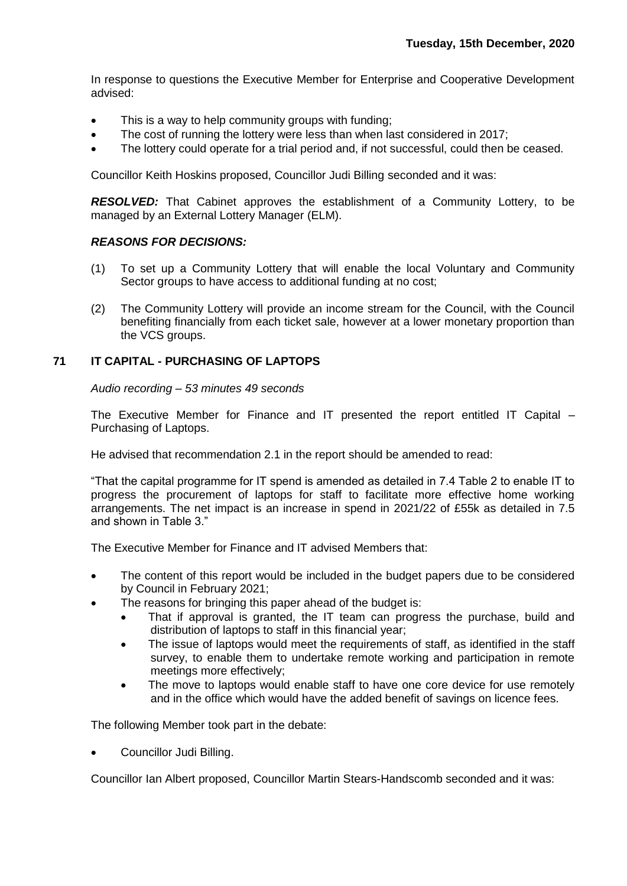In response to questions the Executive Member for Enterprise and Cooperative Development advised:

- This is a way to help community groups with funding;
- The cost of running the lottery were less than when last considered in 2017;
- The lottery could operate for a trial period and, if not successful, could then be ceased.

Councillor Keith Hoskins proposed, Councillor Judi Billing seconded and it was:

*RESOLVED:* That Cabinet approves the establishment of a Community Lottery, to be managed by an External Lottery Manager (ELM).

#### *REASONS FOR DECISIONS:*

- (1) To set up a Community Lottery that will enable the local Voluntary and Community Sector groups to have access to additional funding at no cost;
- (2) The Community Lottery will provide an income stream for the Council, with the Council benefiting financially from each ticket sale, however at a lower monetary proportion than the VCS groups.

## **71 IT CAPITAL - PURCHASING OF LAPTOPS**

*Audio recording – 53 minutes 49 seconds*

The Executive Member for Finance and IT presented the report entitled IT Capital – Purchasing of Laptops.

He advised that recommendation 2.1 in the report should be amended to read:

"That the capital programme for IT spend is amended as detailed in 7.4 Table 2 to enable IT to progress the procurement of laptops for staff to facilitate more effective home working arrangements. The net impact is an increase in spend in 2021/22 of £55k as detailed in 7.5 and shown in Table 3."

The Executive Member for Finance and IT advised Members that:

- The content of this report would be included in the budget papers due to be considered by Council in February 2021;
- The reasons for bringing this paper ahead of the budget is:
	- That if approval is granted, the IT team can progress the purchase, build and distribution of laptops to staff in this financial year;
	- The issue of laptops would meet the requirements of staff, as identified in the staff survey, to enable them to undertake remote working and participation in remote meetings more effectively;
	- The move to laptops would enable staff to have one core device for use remotely and in the office which would have the added benefit of savings on licence fees.

The following Member took part in the debate:

Councillor Judi Billing.

Councillor Ian Albert proposed, Councillor Martin Stears-Handscomb seconded and it was: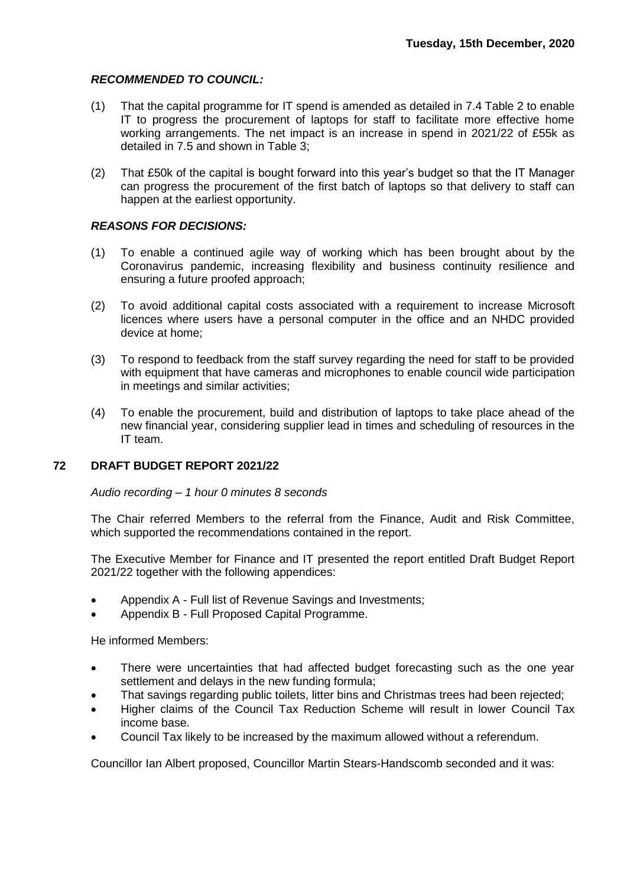## *RECOMMENDED TO COUNCIL:*

- (1) That the capital programme for IT spend is amended as detailed in 7.4 Table 2 to enable IT to progress the procurement of laptops for staff to facilitate more effective home working arrangements. The net impact is an increase in spend in 2021/22 of £55k as detailed in 7.5 and shown in Table 3;
- (2) That £50k of the capital is bought forward into this year's budget so that the IT Manager can progress the procurement of the first batch of laptops so that delivery to staff can happen at the earliest opportunity.

## *REASONS FOR DECISIONS:*

- (1) To enable a continued agile way of working which has been brought about by the Coronavirus pandemic, increasing flexibility and business continuity resilience and ensuring a future proofed approach;
- (2) To avoid additional capital costs associated with a requirement to increase Microsoft licences where users have a personal computer in the office and an NHDC provided device at home;
- (3) To respond to feedback from the staff survey regarding the need for staff to be provided with equipment that have cameras and microphones to enable council wide participation in meetings and similar activities;
- (4) To enable the procurement, build and distribution of laptops to take place ahead of the new financial year, considering supplier lead in times and scheduling of resources in the IT team.

## **72 DRAFT BUDGET REPORT 2021/22**

#### *Audio recording – 1 hour 0 minutes 8 seconds*

The Chair referred Members to the referral from the Finance, Audit and Risk Committee, which supported the recommendations contained in the report.

The Executive Member for Finance and IT presented the report entitled Draft Budget Report 2021/22 together with the following appendices:

- Appendix A Full list of Revenue Savings and Investments;
- Appendix B Full Proposed Capital Programme.

He informed Members:

- There were uncertainties that had affected budget forecasting such as the one year settlement and delays in the new funding formula;
- That savings regarding public toilets, litter bins and Christmas trees had been rejected;
- Higher claims of the Council Tax Reduction Scheme will result in lower Council Tax income base.
- Council Tax likely to be increased by the maximum allowed without a referendum.

Councillor Ian Albert proposed, Councillor Martin Stears-Handscomb seconded and it was: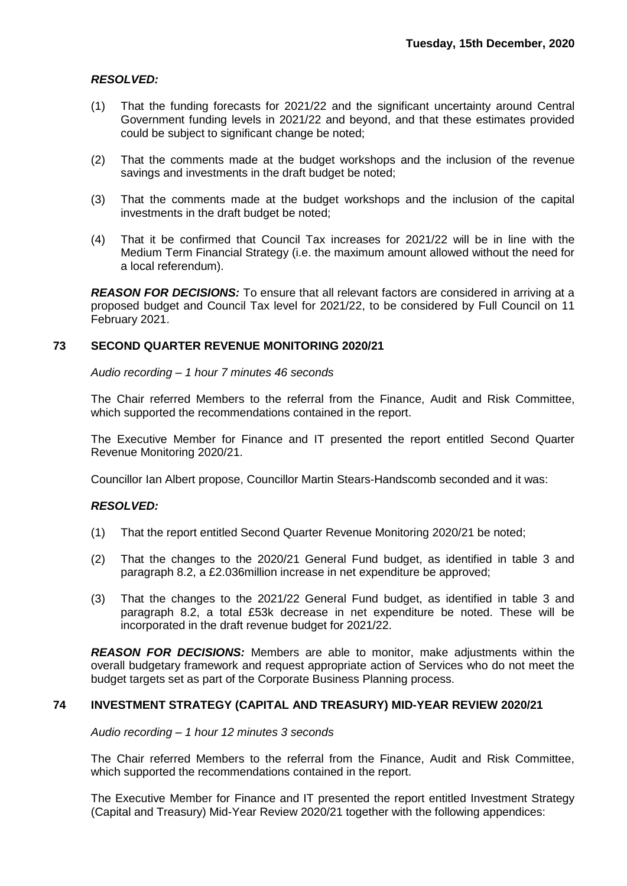## *RESOLVED:*

- (1) That the funding forecasts for 2021/22 and the significant uncertainty around Central Government funding levels in 2021/22 and beyond, and that these estimates provided could be subject to significant change be noted;
- (2) That the comments made at the budget workshops and the inclusion of the revenue savings and investments in the draft budget be noted;
- (3) That the comments made at the budget workshops and the inclusion of the capital investments in the draft budget be noted;
- (4) That it be confirmed that Council Tax increases for 2021/22 will be in line with the Medium Term Financial Strategy (i.e. the maximum amount allowed without the need for a local referendum).

**REASON FOR DECISIONS:** To ensure that all relevant factors are considered in arriving at a proposed budget and Council Tax level for 2021/22, to be considered by Full Council on 11 February 2021.

## **73 SECOND QUARTER REVENUE MONITORING 2020/21**

*Audio recording – 1 hour 7 minutes 46 seconds*

The Chair referred Members to the referral from the Finance, Audit and Risk Committee, which supported the recommendations contained in the report.

The Executive Member for Finance and IT presented the report entitled Second Quarter Revenue Monitoring 2020/21.

Councillor Ian Albert propose, Councillor Martin Stears-Handscomb seconded and it was:

## *RESOLVED:*

- (1) That the report entitled Second Quarter Revenue Monitoring 2020/21 be noted;
- (2) That the changes to the 2020/21 General Fund budget, as identified in table 3 and paragraph 8.2, a £2.036million increase in net expenditure be approved;
- (3) That the changes to the 2021/22 General Fund budget, as identified in table 3 and paragraph 8.2, a total £53k decrease in net expenditure be noted. These will be incorporated in the draft revenue budget for 2021/22.

*REASON FOR DECISIONS:* Members are able to monitor, make adjustments within the overall budgetary framework and request appropriate action of Services who do not meet the budget targets set as part of the Corporate Business Planning process.

## **74 INVESTMENT STRATEGY (CAPITAL AND TREASURY) MID-YEAR REVIEW 2020/21**

*Audio recording – 1 hour 12 minutes 3 seconds*

The Chair referred Members to the referral from the Finance, Audit and Risk Committee, which supported the recommendations contained in the report.

The Executive Member for Finance and IT presented the report entitled Investment Strategy (Capital and Treasury) Mid-Year Review 2020/21 together with the following appendices: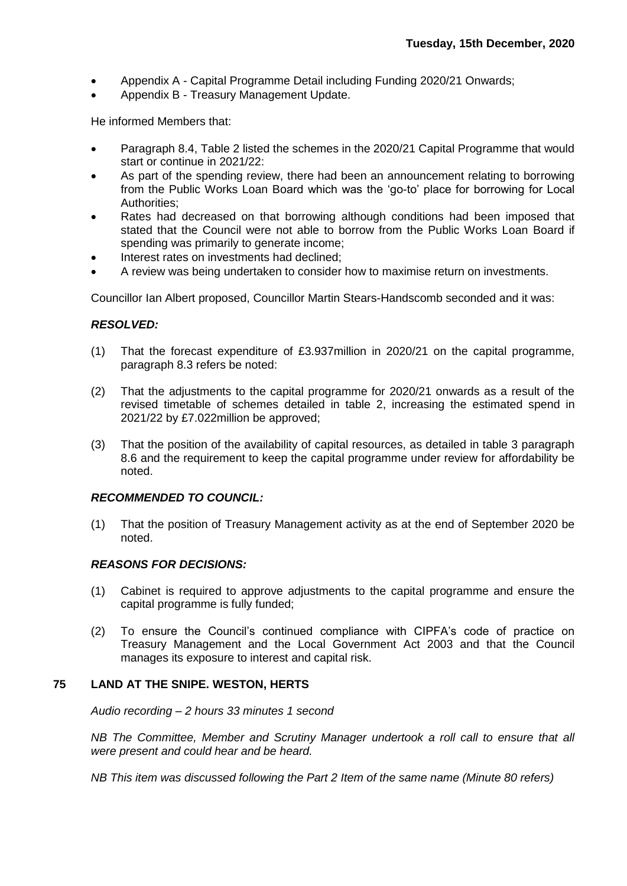- Appendix A Capital Programme Detail including Funding 2020/21 Onwards;
- Appendix B Treasury Management Update.

He informed Members that:

- Paragraph 8.4, Table 2 listed the schemes in the 2020/21 Capital Programme that would start or continue in 2021/22:
- As part of the spending review, there had been an announcement relating to borrowing from the Public Works Loan Board which was the 'go-to' place for borrowing for Local Authorities;
- Rates had decreased on that borrowing although conditions had been imposed that stated that the Council were not able to borrow from the Public Works Loan Board if spending was primarily to generate income;
- Interest rates on investments had declined;
- A review was being undertaken to consider how to maximise return on investments.

Councillor Ian Albert proposed, Councillor Martin Stears-Handscomb seconded and it was:

#### *RESOLVED:*

- (1) That the forecast expenditure of £3.937million in 2020/21 on the capital programme, paragraph 8.3 refers be noted:
- (2) That the adjustments to the capital programme for 2020/21 onwards as a result of the revised timetable of schemes detailed in table 2, increasing the estimated spend in 2021/22 by £7.022million be approved;
- (3) That the position of the availability of capital resources, as detailed in table 3 paragraph 8.6 and the requirement to keep the capital programme under review for affordability be noted.

## *RECOMMENDED TO COUNCIL:*

(1) That the position of Treasury Management activity as at the end of September 2020 be noted.

## *REASONS FOR DECISIONS:*

- (1) Cabinet is required to approve adjustments to the capital programme and ensure the capital programme is fully funded;
- (2) To ensure the Council's continued compliance with CIPFA's code of practice on Treasury Management and the Local Government Act 2003 and that the Council manages its exposure to interest and capital risk.

## **75 LAND AT THE SNIPE. WESTON, HERTS**

*Audio recording – 2 hours 33 minutes 1 second*

*NB The Committee, Member and Scrutiny Manager undertook a roll call to ensure that all were present and could hear and be heard.*

*NB This item was discussed following the Part 2 Item of the same name (Minute 80 refers)*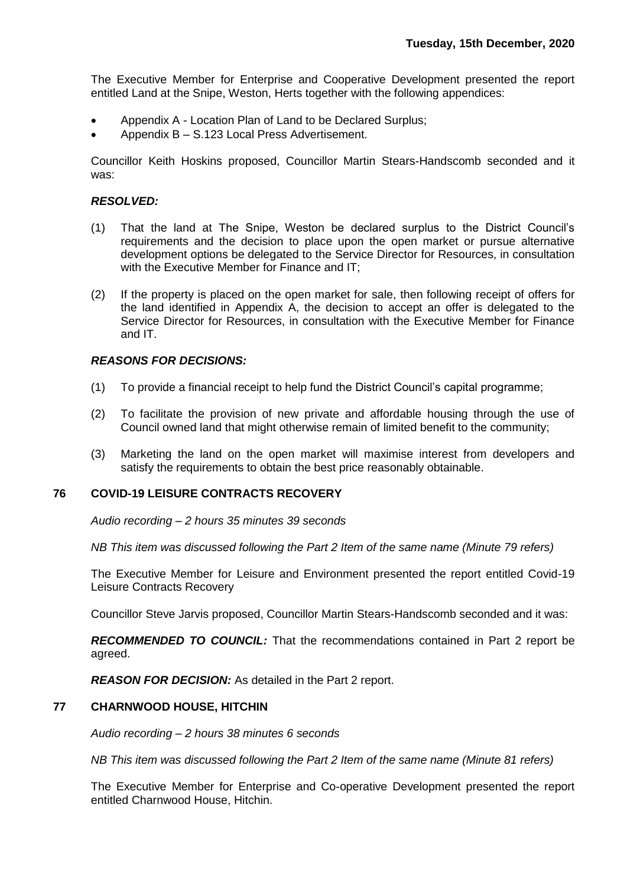The Executive Member for Enterprise and Cooperative Development presented the report entitled Land at the Snipe, Weston, Herts together with the following appendices:

- Appendix A Location Plan of Land to be Declared Surplus;
- Appendix B S.123 Local Press Advertisement.

Councillor Keith Hoskins proposed, Councillor Martin Stears-Handscomb seconded and it was:

## *RESOLVED:*

- (1) That the land at The Snipe, Weston be declared surplus to the District Council's requirements and the decision to place upon the open market or pursue alternative development options be delegated to the Service Director for Resources, in consultation with the Executive Member for Finance and IT;
- (2) If the property is placed on the open market for sale, then following receipt of offers for the land identified in Appendix A, the decision to accept an offer is delegated to the Service Director for Resources, in consultation with the Executive Member for Finance and IT.

## *REASONS FOR DECISIONS:*

- (1) To provide a financial receipt to help fund the District Council's capital programme;
- (2) To facilitate the provision of new private and affordable housing through the use of Council owned land that might otherwise remain of limited benefit to the community;
- (3) Marketing the land on the open market will maximise interest from developers and satisfy the requirements to obtain the best price reasonably obtainable.

## **76 COVID-19 LEISURE CONTRACTS RECOVERY**

*Audio recording – 2 hours 35 minutes 39 seconds*

*NB This item was discussed following the Part 2 Item of the same name (Minute 79 refers)*

The Executive Member for Leisure and Environment presented the report entitled Covid-19 Leisure Contracts Recovery

Councillor Steve Jarvis proposed, Councillor Martin Stears-Handscomb seconded and it was:

*RECOMMENDED TO COUNCIL:* That the recommendations contained in Part 2 report be agreed.

*REASON FOR DECISION:* As detailed in the Part 2 report.

## **77 CHARNWOOD HOUSE, HITCHIN**

*Audio recording – 2 hours 38 minutes 6 seconds*

*NB This item was discussed following the Part 2 Item of the same name (Minute 81 refers)*

The Executive Member for Enterprise and Co-operative Development presented the report entitled Charnwood House, Hitchin.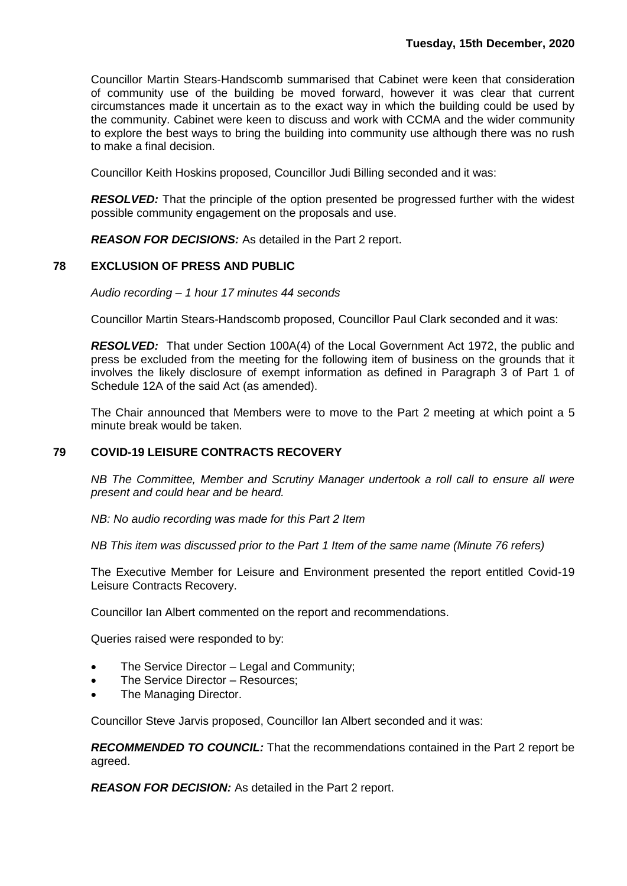Councillor Martin Stears-Handscomb summarised that Cabinet were keen that consideration of community use of the building be moved forward, however it was clear that current circumstances made it uncertain as to the exact way in which the building could be used by the community. Cabinet were keen to discuss and work with CCMA and the wider community to explore the best ways to bring the building into community use although there was no rush to make a final decision.

Councillor Keith Hoskins proposed, Councillor Judi Billing seconded and it was:

**RESOLVED:** That the principle of the option presented be progressed further with the widest possible community engagement on the proposals and use.

*REASON FOR DECISIONS:* As detailed in the Part 2 report.

## **78 EXCLUSION OF PRESS AND PUBLIC**

*Audio recording – 1 hour 17 minutes 44 seconds*

Councillor Martin Stears-Handscomb proposed, Councillor Paul Clark seconded and it was:

*RESOLVED:* That under Section 100A(4) of the Local Government Act 1972, the public and press be excluded from the meeting for the following item of business on the grounds that it involves the likely disclosure of exempt information as defined in Paragraph 3 of Part 1 of Schedule 12A of the said Act (as amended).

The Chair announced that Members were to move to the Part 2 meeting at which point a 5 minute break would be taken.

## **79 COVID-19 LEISURE CONTRACTS RECOVERY**

*NB The Committee, Member and Scrutiny Manager undertook a roll call to ensure all were present and could hear and be heard.*

*NB: No audio recording was made for this Part 2 Item*

*NB This item was discussed prior to the Part 1 Item of the same name (Minute 76 refers)*

The Executive Member for Leisure and Environment presented the report entitled Covid-19 Leisure Contracts Recovery.

Councillor Ian Albert commented on the report and recommendations.

Queries raised were responded to by:

- The Service Director Legal and Community;
- The Service Director Resources;
- The Managing Director.

Councillor Steve Jarvis proposed, Councillor Ian Albert seconded and it was:

*RECOMMENDED TO COUNCIL:* That the recommendations contained in the Part 2 report be agreed.

*REASON FOR DECISION:* As detailed in the Part 2 report.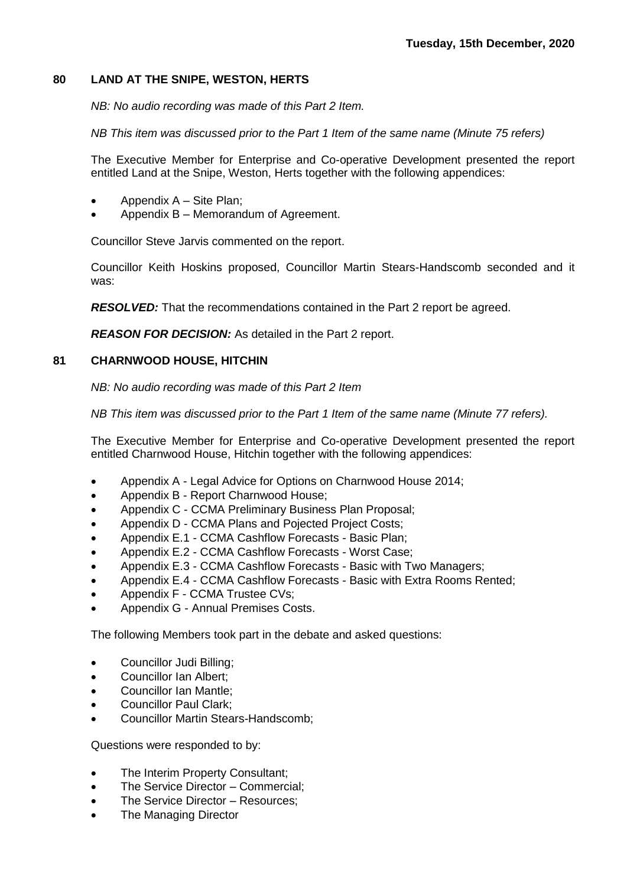## **80 LAND AT THE SNIPE, WESTON, HERTS**

*NB: No audio recording was made of this Part 2 Item.*

*NB This item was discussed prior to the Part 1 Item of the same name (Minute 75 refers)*

The Executive Member for Enterprise and Co-operative Development presented the report entitled Land at the Snipe, Weston, Herts together with the following appendices:

- Appendix A Site Plan;
- Appendix B Memorandum of Agreement.

Councillor Steve Jarvis commented on the report.

Councillor Keith Hoskins proposed, Councillor Martin Stears-Handscomb seconded and it was:

*RESOLVED:* That the recommendations contained in the Part 2 report be agreed.

*REASON FOR DECISION:* As detailed in the Part 2 report.

## **81 CHARNWOOD HOUSE, HITCHIN**

*NB: No audio recording was made of this Part 2 Item*

*NB This item was discussed prior to the Part 1 Item of the same name (Minute 77 refers).*

The Executive Member for Enterprise and Co-operative Development presented the report entitled Charnwood House, Hitchin together with the following appendices:

- Appendix A Legal Advice for Options on Charnwood House 2014;
- Appendix B Report Charnwood House;
- Appendix C CCMA Preliminary Business Plan Proposal;
- Appendix D CCMA Plans and Pojected Project Costs;
- Appendix E.1 CCMA Cashflow Forecasts Basic Plan;
- Appendix E.2 CCMA Cashflow Forecasts Worst Case;
- Appendix E.3 CCMA Cashflow Forecasts Basic with Two Managers;
- Appendix E.4 CCMA Cashflow Forecasts Basic with Extra Rooms Rented;
- Appendix F CCMA Trustee CVs;
- Appendix G Annual Premises Costs.

The following Members took part in the debate and asked questions:

- Councillor Judi Billing;
- Councillor Ian Albert:
- Councillor Ian Mantle;
- Councillor Paul Clark;
- Councillor Martin Stears-Handscomb;

Questions were responded to by:

- The Interim Property Consultant;
- The Service Director Commercial;
- The Service Director Resources:
- The Managing Director